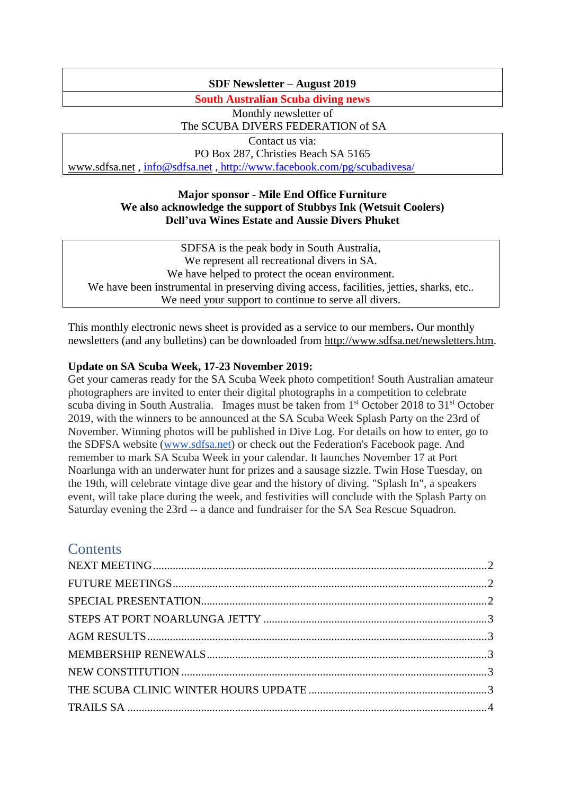## **SDF Newsletter – August 2019**

**South Australian Scuba diving news**

Monthly newsletter of The SCUBA DIVERS FEDERATION of SA Contact us via:

PO Box 287, Christies Beach SA 5165 [www.sdfsa.net](http://www.sdfsa.net/) , [info@sdfsa.net](mailto:info@sdfsa.net) , <http://www.facebook.com/pg/scubadivesa/>

### **Major sponsor - Mile End Office Furniture We also acknowledge the support of Stubbys Ink (Wetsuit Coolers) Dell'uva Wines Estate and Aussie Divers Phuket**

SDFSA is the peak body in South Australia, We represent all recreational divers in SA. We have helped to protect the ocean environment. We have been instrumental in preserving diving access, facilities, jetties, sharks, etc.. We need your support to continue to serve all divers.

This monthly electronic news sheet is provided as a service to our members**.** Our monthly newsletters (and any bulletins) can be downloaded from [http://www.sdfsa.net/newsletters.htm.](http://www.sdfsa.net/newsletters.htm)

## **Update on SA Scuba Week, 17-23 November 2019:**

Get your cameras ready for the SA Scuba Week photo competition! South Australian amateur photographers are invited to enter their digital photographs in a competition to celebrate scuba diving in South Australia. Images must be taken from 1<sup>st</sup> October 2018 to 31<sup>st</sup> October 2019, with the winners to be announced at the SA Scuba Week Splash Party on the 23rd of November. Winning photos will be published in Dive Log. For details on how to enter, go to the SDFSA website [\(www.sdfsa.net\)](http://www.sdfsa.net/) or check out the Federation's Facebook page. And remember to mark SA Scuba Week in your calendar. It launches November 17 at Port Noarlunga with an underwater hunt for prizes and a sausage sizzle. Twin Hose Tuesday, on the 19th, will celebrate vintage dive gear and the history of diving. "Splash In", a speakers event, will take place during the week, and festivities will conclude with the Splash Party on Saturday evening the 23rd -- a dance and fundraiser for the SA Sea Rescue Squadron.

# **Contents**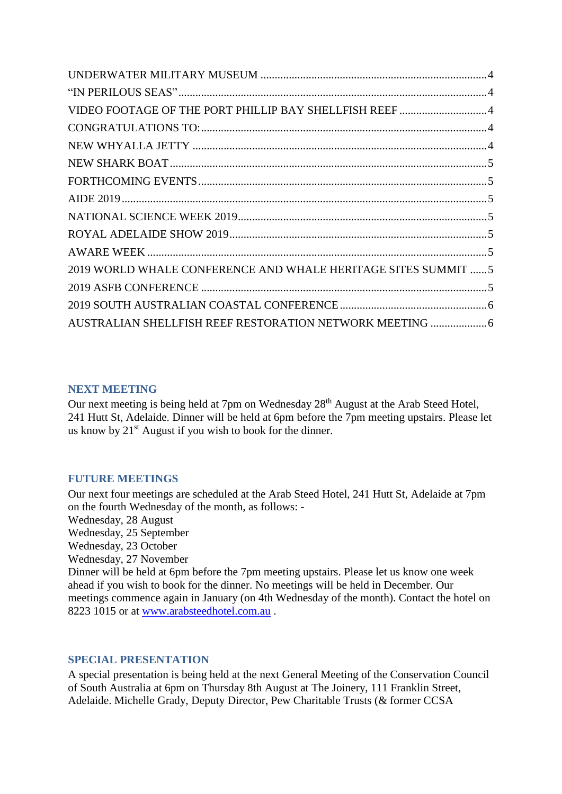| 2019 WORLD WHALE CONFERENCE AND WHALE HERITAGE SITES SUMMIT  5 |  |
|----------------------------------------------------------------|--|
|                                                                |  |
|                                                                |  |
|                                                                |  |

## <span id="page-1-0"></span>**NEXT MEETING**

Our next meeting is being held at 7pm on Wednesday 28<sup>th</sup> August at the Arab Steed Hotel, 241 Hutt St, Adelaide. Dinner will be held at 6pm before the 7pm meeting upstairs. Please let us know by  $21^{st}$  August if you wish to book for the dinner.

## <span id="page-1-1"></span>**FUTURE MEETINGS**

Our next four meetings are scheduled at the Arab Steed Hotel, 241 Hutt St, Adelaide at 7pm on the fourth Wednesday of the month, as follows: -

Wednesday, 28 August

Wednesday, 25 September

Wednesday, 23 October

Wednesday, 27 November

Dinner will be held at 6pm before the 7pm meeting upstairs. Please let us know one week ahead if you wish to book for the dinner. No meetings will be held in December. Our meetings commence again in January (on 4th Wednesday of the month). Contact the hotel on 8223 1015 or at [www.arabsteedhotel.com.au](http://www.arabsteedhotel.com.au/).

## <span id="page-1-2"></span>**SPECIAL PRESENTATION**

A special presentation is being held at the next General Meeting of the Conservation Council of South Australia at 6pm on Thursday 8th August at The Joinery, 111 Franklin Street, Adelaide. Michelle Grady, Deputy Director, Pew Charitable Trusts (& former CCSA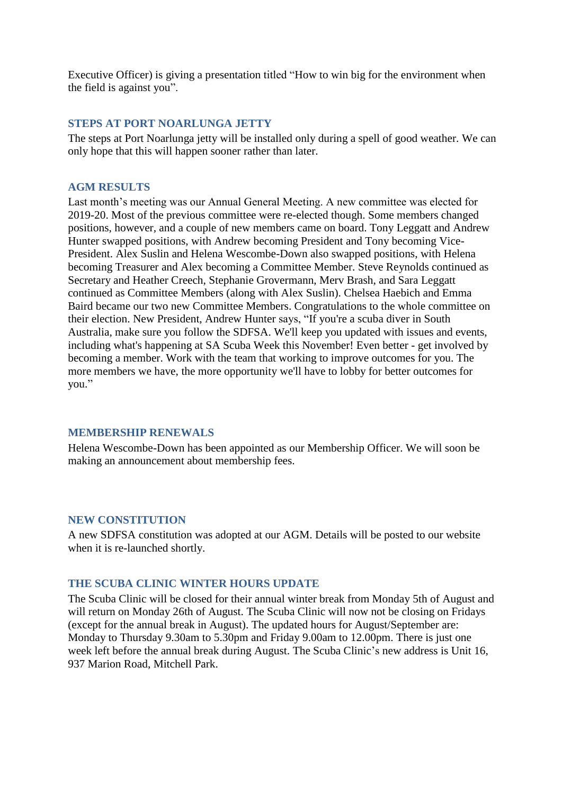Executive Officer) is giving a presentation titled "How to win big for the environment when the field is against you".

### <span id="page-2-0"></span>**STEPS AT PORT NOARLUNGA JETTY**

The steps at Port Noarlunga jetty will be installed only during a spell of good weather. We can only hope that this will happen sooner rather than later.

#### <span id="page-2-1"></span>**AGM RESULTS**

Last month's meeting was our Annual General Meeting. A new committee was elected for 2019-20. Most of the previous committee were re-elected though. Some members changed positions, however, and a couple of new members came on board. Tony Leggatt and Andrew Hunter swapped positions, with Andrew becoming President and Tony becoming Vice-President. Alex Suslin and Helena Wescombe-Down also swapped positions, with Helena becoming Treasurer and Alex becoming a Committee Member. Steve Reynolds continued as Secretary and Heather Creech, Stephanie Grovermann, Merv Brash, and Sara Leggatt continued as Committee Members (along with Alex Suslin). Chelsea Haebich and Emma Baird became our two new Committee Members. Congratulations to the whole committee on their election. New President, Andrew Hunter says, "If you're a scuba diver in South Australia, make sure you follow the SDFSA. We'll keep you updated with issues and events, including what's happening at SA Scuba Week this November! Even better - get involved by becoming a member. Work with the team that working to improve outcomes for you. The more members we have, the more opportunity we'll have to lobby for better outcomes for you."

### <span id="page-2-2"></span>**MEMBERSHIP RENEWALS**

Helena Wescombe-Down has been appointed as our Membership Officer. We will soon be making an announcement about membership fees.

### <span id="page-2-3"></span>**NEW CONSTITUTION**

<span id="page-2-4"></span>A new SDFSA constitution was adopted at our AGM. Details will be posted to our website when it is re-launched shortly.

### **THE SCUBA CLINIC WINTER HOURS UPDATE**

The Scuba Clinic will be closed for their annual winter break from Monday 5th of August and will return on Monday 26th of August. The Scuba Clinic will now not be closing on Fridays (except for the annual break in August). The updated hours for August/September are: Monday to Thursday 9.30am to 5.30pm and Friday 9.00am to 12.00pm. There is just one week left before the annual break during August. The Scuba Clinic's new address is Unit 16, 937 Marion Road, Mitchell Park.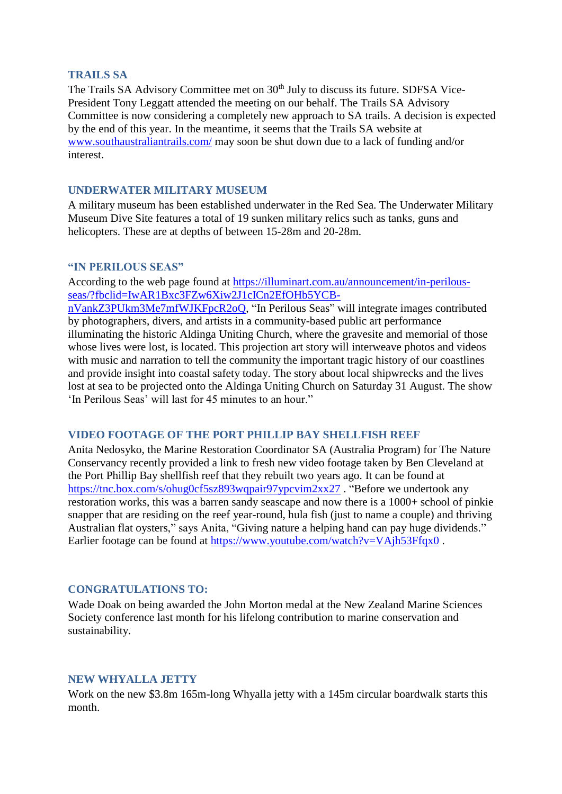#### <span id="page-3-0"></span>**TRAILS SA**

The Trails SA Advisory Committee met on 30<sup>th</sup> July to discuss its future. SDFSA Vice-President Tony Leggatt attended the meeting on our behalf. The Trails SA Advisory Committee is now considering a completely new approach to SA trails. A decision is expected by the end of this year. In the meantime, it seems that the Trails SA website at [www.southaustraliantrails.com/](http://www.southaustraliantrails.com/) may soon be shut down due to a lack of funding and/or interest.

### <span id="page-3-1"></span>**UNDERWATER MILITARY MUSEUM**

A military museum has been established underwater in the Red Sea. The Underwater Military Museum Dive Site features a total of 19 sunken military relics such as tanks, guns and helicopters. These are at depths of between 15-28m and 20-28m.

### <span id="page-3-2"></span>**"IN PERILOUS SEAS"**

According to the web page found at [https://illuminart.com.au/announcement/in-perilous](https://illuminart.com.au/announcement/in-perilous-seas/?fbclid=IwAR1Bxc3FZw6Xiw2J1cICn2EfOHb5YCB-nVankZ3PUkm3Me7mfWJKFpcR2oQ)[seas/?fbclid=IwAR1Bxc3FZw6Xiw2J1cICn2EfOHb5YCB-](https://illuminart.com.au/announcement/in-perilous-seas/?fbclid=IwAR1Bxc3FZw6Xiw2J1cICn2EfOHb5YCB-nVankZ3PUkm3Me7mfWJKFpcR2oQ)

[nVankZ3PUkm3Me7mfWJKFpcR2oQ,](https://illuminart.com.au/announcement/in-perilous-seas/?fbclid=IwAR1Bxc3FZw6Xiw2J1cICn2EfOHb5YCB-nVankZ3PUkm3Me7mfWJKFpcR2oQ) "In Perilous Seas" will integrate images contributed by photographers, divers, and artists in a community-based public art performance illuminating the historic Aldinga Uniting Church, where the gravesite and memorial of those whose lives were lost, is located. This projection art story will interweave photos and videos with music and narration to tell the community the important tragic history of our coastlines and provide insight into coastal safety today. The story about local shipwrecks and the lives lost at sea to be projected onto the Aldinga Uniting Church on Saturday 31 August. The show 'In Perilous Seas' will last for 45 minutes to an hour."

### <span id="page-3-3"></span>**VIDEO FOOTAGE OF THE PORT PHILLIP BAY SHELLFISH REEF**

Anita Nedosyko, the Marine Restoration Coordinator SA (Australia Program) for The Nature Conservancy recently provided a link to fresh new video footage taken by Ben Cleveland at the Port Phillip Bay shellfish reef that they rebuilt two years ago. It can be found at <https://tnc.box.com/s/ohug0cf5sz893wqpair97ypcvim2xx27>. "Before we undertook any restoration works, this was a barren sandy seascape and now there is a 1000+ school of pinkie snapper that are residing on the reef year-round, hula fish (just to name a couple) and thriving Australian flat oysters," says Anita, "Giving nature a helping hand can pay huge dividends." Earlier footage can be found at<https://www.youtube.com/watch?v=VAjh53Ffqx0>.

## <span id="page-3-4"></span>**CONGRATULATIONS TO:**

Wade Doak on being awarded the John Morton medal at the New Zealand Marine Sciences Society conference last month for his lifelong contribution to marine conservation and sustainability.

### <span id="page-3-5"></span>**NEW WHYALLA JETTY**

Work on the new \$3.8m 165m-long Whyalla jetty with a 145m circular boardwalk starts this month.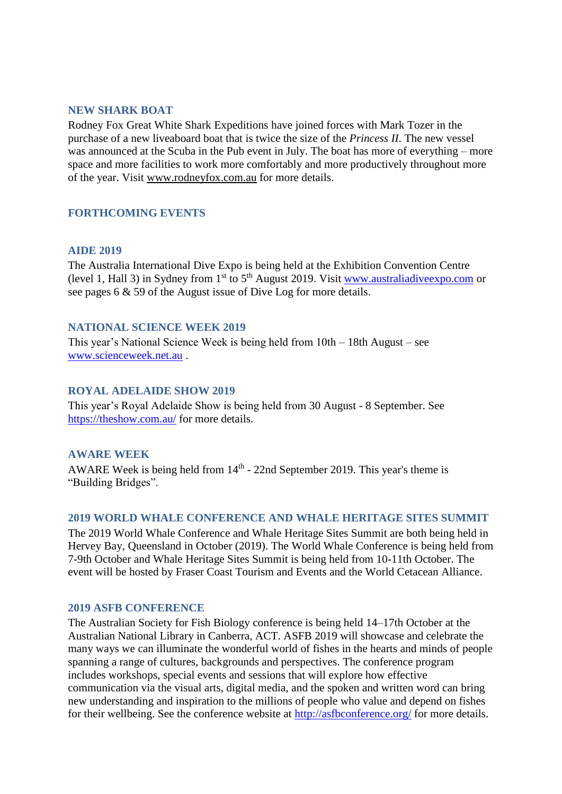#### <span id="page-4-0"></span>**NEW SHARK BOAT**

Rodney Fox Great White Shark Expeditions have joined forces with Mark Tozer in the purchase of a new liveaboard boat that is twice the size of the *Princess II*. The new vessel was announced at the Scuba in the Pub event in July. The boat has more of everything – more space and more facilities to work more comfortably and more productively throughout more of the year. Visit [www.rodneyfox.com.au](http://www.rodneyfox.com.au/?fbclid=IwAR0Ql0d030OdK5026-h2SjWOTGAdaxQncJ0AzNizmDnFMlxnQDgreH7sWDE) for more details.

### <span id="page-4-2"></span><span id="page-4-1"></span>**FORTHCOMING EVENTS**

#### **AIDE 2019**

The Australia International Dive Expo is being held at the Exhibition Convention Centre (level 1, Hall 3) in Sydney from  $1<sup>st</sup>$  to  $5<sup>th</sup>$  August 2019. Visit www.australiadive expo.com or see pages 6 & 59 of the August issue of Dive Log for more details.

#### <span id="page-4-3"></span>**NATIONAL SCIENCE WEEK 2019**

This year's National Science Week is being held from 10th – 18th August – see [www.scienceweek.net.au](http://www.scienceweek.net.au/) .

#### <span id="page-4-4"></span>**ROYAL ADELAIDE SHOW 2019**

This year's Royal Adelaide Show is being held from 30 August - 8 September. See <https://theshow.com.au/> for more details.

#### <span id="page-4-5"></span>**AWARE WEEK**

AWARE Week is being held from  $14<sup>th</sup>$  - 22nd September 2019. This year's theme is "Building Bridges".

#### <span id="page-4-6"></span>**2019 WORLD WHALE CONFERENCE AND WHALE HERITAGE SITES SUMMIT**

The 2019 World Whale Conference and Whale Heritage Sites Summit are both being held in Hervey Bay, Queensland in October (2019). The World Whale Conference is being held from 7-9th October and Whale Heritage Sites Summit is being held from 10-11th October. The event will be hosted by Fraser Coast Tourism and Events and the World Cetacean Alliance.

#### <span id="page-4-7"></span>**2019 ASFB CONFERENCE**

The Australian Society for Fish Biology conference is being held 14–17th October at the Australian National Library in Canberra, ACT. ASFB 2019 will showcase and celebrate the many ways we can illuminate the wonderful world of fishes in the hearts and minds of people spanning a range of cultures, backgrounds and perspectives. The conference program includes workshops, special events and sessions that will explore how effective communication via the visual arts, digital media, and the spoken and written word can bring new understanding and inspiration to the millions of people who value and depend on fishes for their wellbeing. See the conference website at<http://asfbconference.org/> for more details.